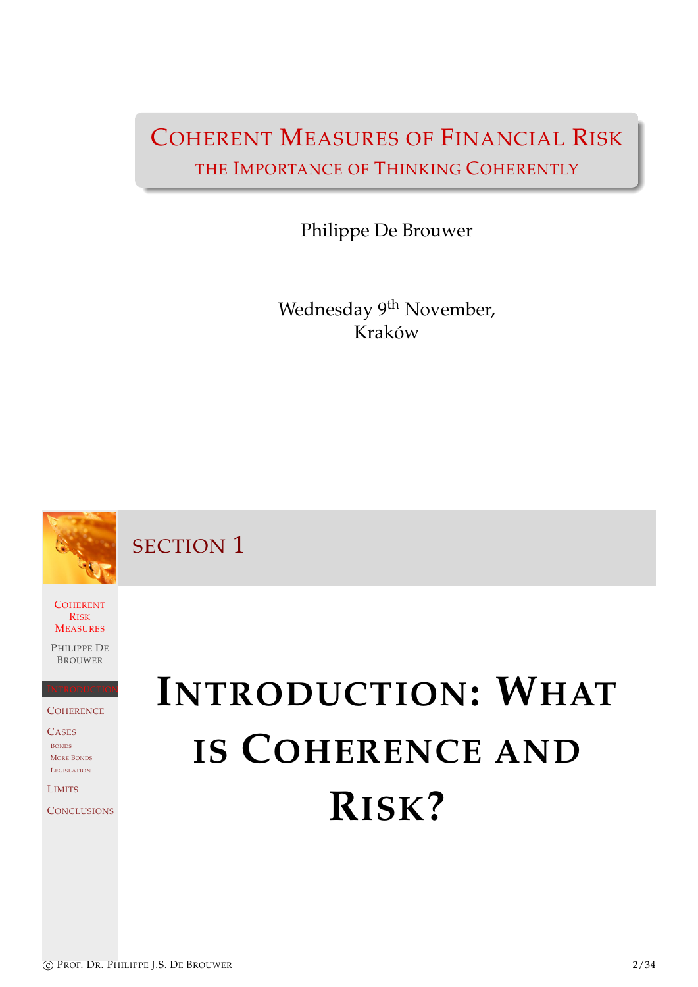### COHERENT MEASURES OF FINANCIAL RISK THE IMPORTANCE OF THINKING COHERENTLY

Philippe De Brouwer

Wednesday 9<sup>th</sup> November, Kraków

SECTION 1

**COHERENT** RISK **MEASURES** 

PHILIPPE DE BROUWER

INTRODUCTION **COHERENCE** 

[C](#page-0-0)ASES BONDS MORE BONDS **LEGISLATION** 

[L](#page-0-1)IMITS

<span id="page-0-0"></span>**[C](#page-4-0)ONCLUSIONS** 

# <span id="page-0-1"></span>**INTRODUCTION: WHAT IS COHERENCE AND [R](#page-0-1)[ISK](#page-0-1)?**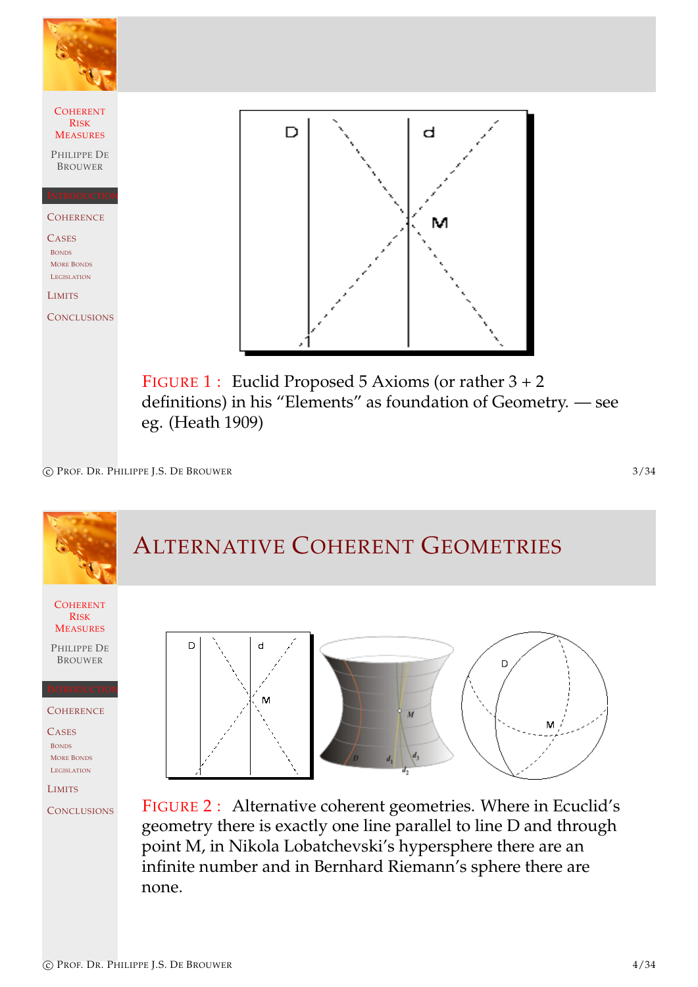

eg. (Heath 1909)

c PROF. DR. PHILIPPE J.S. DE BROUWER 3/34

### ALTERNATIVE COHERENT GEOMETRIES

**COHERENT** RISK **MEASURES** 

PHILIPPE DE BROUWER

INTRODUCTION **COHERENCE** 

[C](#page-0-0)ASES<sub></sub> BONDS MORE BONDS LEGISLATION

[L](#page-0-1)IMITS **[C](#page-4-0)ONCLUSIONS** 



FIGURE 2 : Alternative coherent geometries. Where in Ecuclid's geometry there is exactly one line parallel to line D and through point M, in Nikola Lobatchevski's hypersphere there are an infinite number and in Bernhard Riemann's sphere there are none.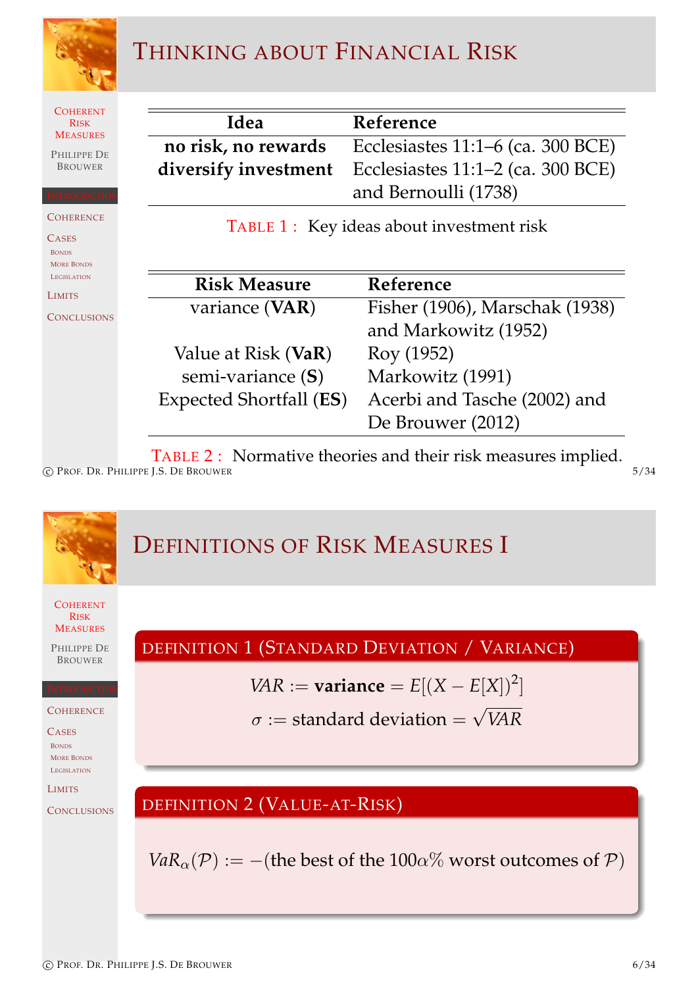

### THINKING ABOUT FINANCIAL RISK

**COHERENT** RISK **MEASURES** 

PHILIPPE DE BROUWER

**COHERENCE** 

INTRODUCTION

**CASES** BONDS MORE BONDS **LEGISLATION** 

LIMITS

**CONCLUSIONS** 

| Idea | Reference                                                     |
|------|---------------------------------------------------------------|
|      | no risk, no rewards Ecclesiastes 11:1–6 (ca. 300 BCE)         |
|      | <b>diversify investment</b> Ecclesiastes 11:1–2 (ca. 300 BCE) |
|      | and Bernoulli (1738)                                          |

TABLE 1: Key ideas about investment risk

| <b>Risk Measure</b>            | Reference                      |
|--------------------------------|--------------------------------|
| variance (VAR)                 | Fisher (1906), Marschak (1938) |
|                                | and Markowitz (1952)           |
| Value at Risk (VaR)            | Roy (1952)                     |
| semi-variance (S)              | Markowitz (1991)               |
| <b>Expected Shortfall (ES)</b> | Acerbi and Tasche (2002) and   |
|                                | De Brouwer (2012)              |

TABLE 2 : Normative theories and their risk measures implied. c PROF. DR. PHILIPPE J.S. DE BROUWER 5/34

**COHERENT** RISK **MEASURES** PHILIPPE DE BROUWER INTRODUCTION **COHERENCE** [C](#page-0-0)ASES<sub></sub> BONDS MORE BONDS LEGISLATION [L](#page-0-1)IMITS **[C](#page-4-0)ONCLUSIONS** DEFINITIONS OF RISK MEASURES I DEFINITION 1 (STANDARD DEVIATION / VARIANCE) *VAR* := **variance** =  $E[(X - E[X])^2]$  $\sigma :=$  standard deviation  $=$ √ *VAR* DEFINITION [2](#page-14-0) [\(V](#page-14-0)ALUE-AT-RISK) *VaR*<sub> $\alpha$ </sub>( $\mathcal{P}$ ) := −([the](#page-14-1) [best of the 1](#page-15-0)00 $\alpha$ % worst outcomes of  $\mathcal{P}$ )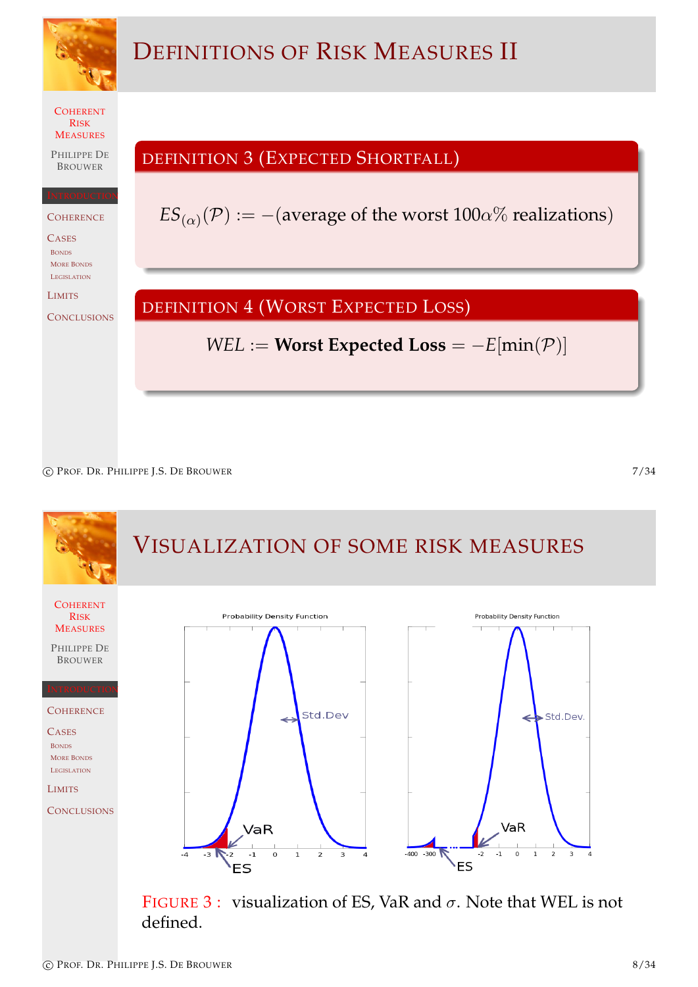

c PROF. DR. PHILIPPE J.S. DE BROUWER 7/34





c PROF. DR. PHILIPPE J.S. DE BROUWER 8/34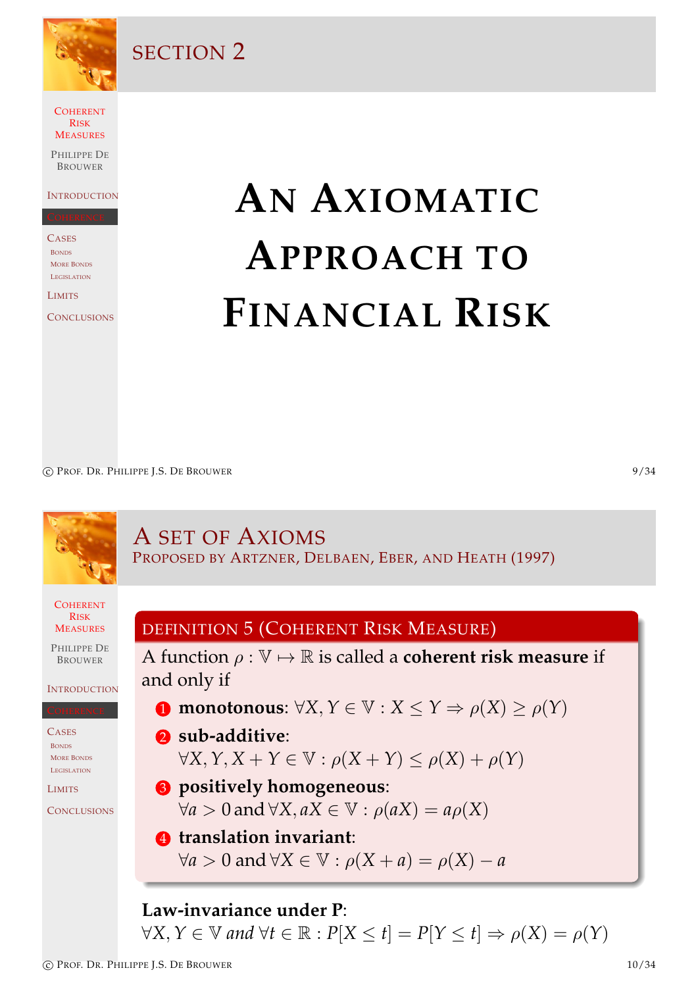

#### SECTION 2

COHERENT RISK **MEASURES** 

PHILIPPE DE **BROUWER** 

**INTRODUCTION** 

**CASES** BONDS MORE BONDS **LEGISLATION** 

LIMITS

**CONCLUSIONS** 

# **AN AXIOMATIC APPROACH TO FINANCIAL RISK**

c PROF. DR. PHILIPPE I.S. DE BROUWER 9/34

#### **COHERENT** RISK **MEASURES** PHILIPPE DE BROUWER **INTRODUCTION** [C](#page-0-0)ASES **BONDS** MORE BONDS LEGISLATION **[L](#page-0-1)IMITS [C](#page-4-0)ONCLUSIONS** A SET OF AXIOMS PROPOSED BY ARTZNER, DELBAEN, EBER, AND HEATH (1997) DEFINITION 5 (COHERENT RISK MEASURE) A function  $\rho : \mathbb{V} \mapsto \mathbb{R}$  is called a **coherent risk measure** if and only if **1** [monotonous](#page-14-2):  $\forall X, Y \in \mathbb{V}: X \leq Y \Rightarrow \rho(X) \geq \rho(Y)$ 2 **sub-additive**:  $\forall X, Y, X + Y \in \mathbb{V}: \rho(X + Y) \leq \rho(X) + \rho(Y)$ 3 **[positively homogeneous](#page-4-0)**:  $\forall a > 0$  and  $\forall X, aX \in \mathbb{V} : \rho(aX) = a\rho(X)$ 4 **[translation invariant](#page-4-0)**:  $\forall a > 0$  and  $\forall X \in \mathbb{V}: \rho(X + a) = \rho(X) - a$ **Law-invariance under P**:

<span id="page-4-0"></span> $\forall X, Y \in \mathbb{V}$  and  $\forall t \in \mathbb{R} : P[X \leq t] = P[Y \leq t] \Rightarrow \rho(X) = \rho(Y)$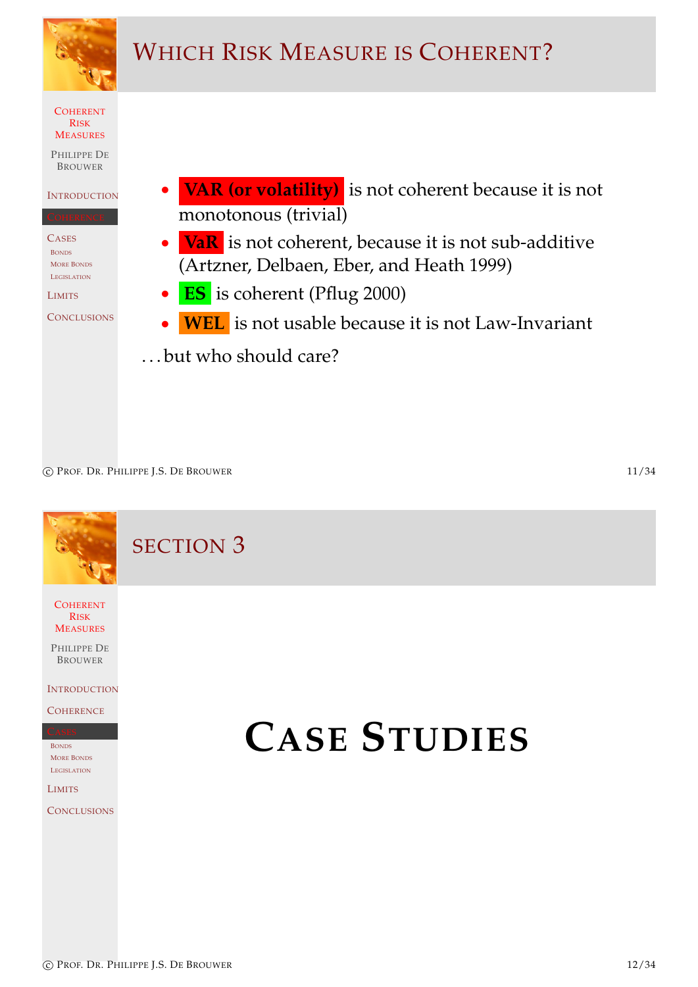

<span id="page-5-0"></span>

c PROF. DR. PHILIPPE J.S. DE BROUWER 11/34

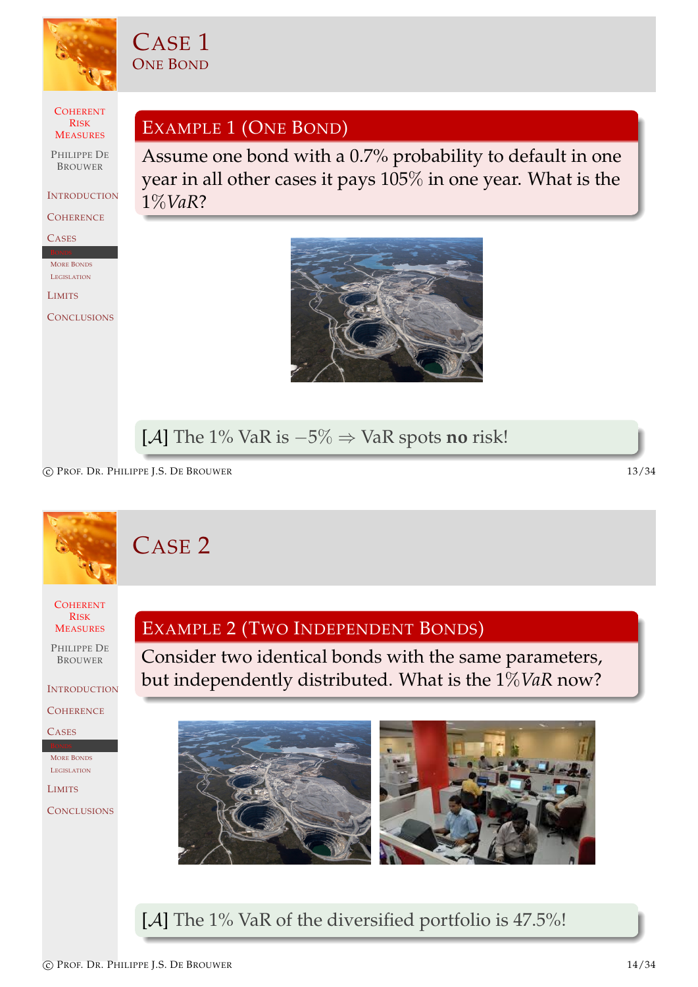

CASE 1 ONE BOND

**COHERENT** RISK **MEASURES** 

PHILIPPE DE BROUWER

**INTRODUCTION** 

**COHERENCE** 

CASES

MORE BONDS **LEGISLATION** 

LIMITS

**CONCLUSIONS** 

EXAMPLE 1 (ONE BOND)

Assume one bond with a 0.7% probability to default in one year in all other cases it pays 105% in one year. What is the 1%*VaR*?



#### [A] The 1% VaR is −5% ⇒ VaR spots **no** risk!

c PROF. DR. PHILIPPE J.S. DE BROUWER 13/34

## CASE 2

**COHERENT** RISK **MEASURES** 

PHILIPPE DE BROUWER

**INTRODUCTION** 

**COHERENCE** 

[C](#page-0-0)ASES

MORE BONDS LEGISLATION

[L](#page-0-1)IMITS

**[C](#page-4-0)ONCLUSIONS** 

#### EXAMPLE 2 (TWO INDEPENDENT BONDS)

Consider two identical bonds with the same parameters, but independently distributed. What is the 1%*VaR* now?



[A] The 1% VaR of the diversified portfolio is 47.5%!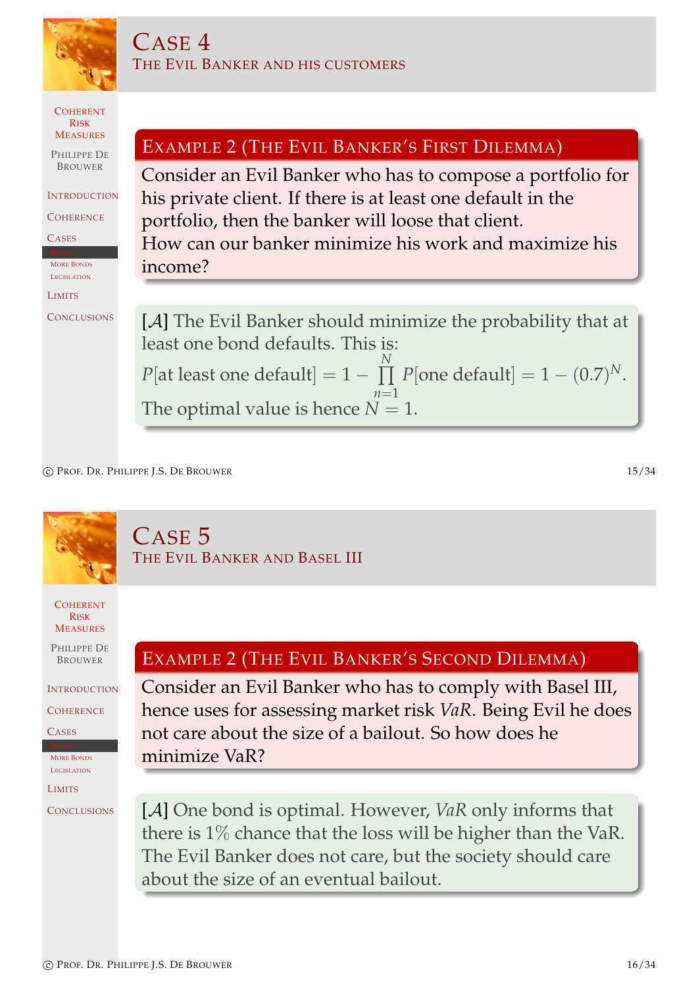

c PROF. DR. PHILIPPE J.S. DE BROUWER 15/34

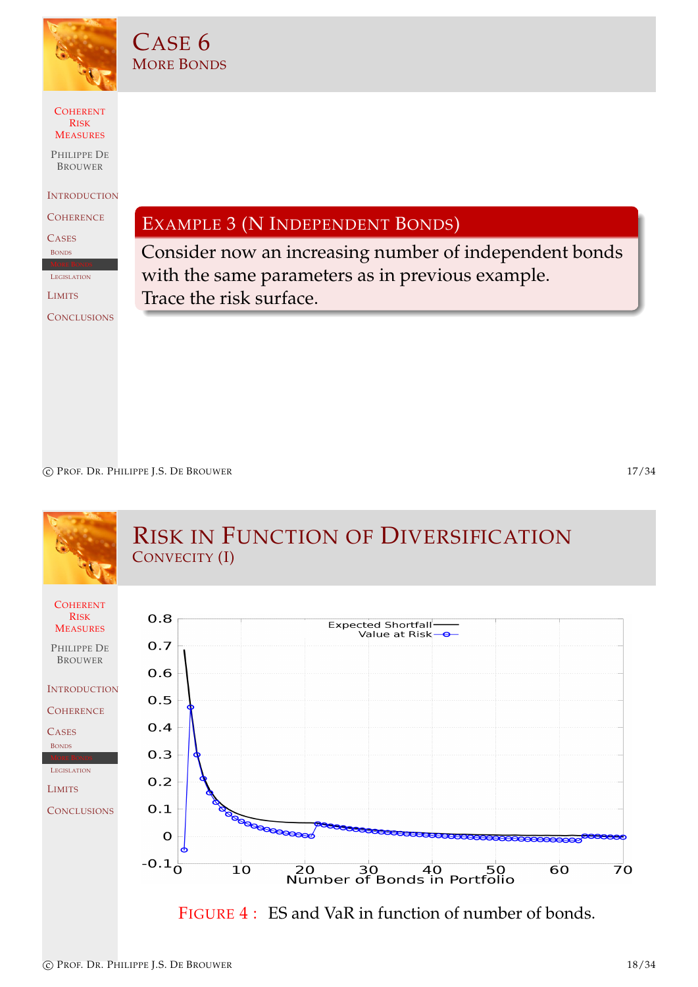

CASE 6 MORE BONDS

#### **COHERENT** RISK **MEASURES**

PHILIPPE DE **BROUWER** 

**INTRODUCTION** 

**COHERENCE** 

**CASES** 

BONDS

**LEGISLATION** 

LIMITS

**CONCLUSIONS** 

EXAMPLE 3 (N INDEPENDENT BONDS)

Consider now an increasing number of independent bonds with the same parameters as in previous example. Trace the risk surface.

c PROF. DR. PHILIPPE J.S. DE BROUWER 17/34

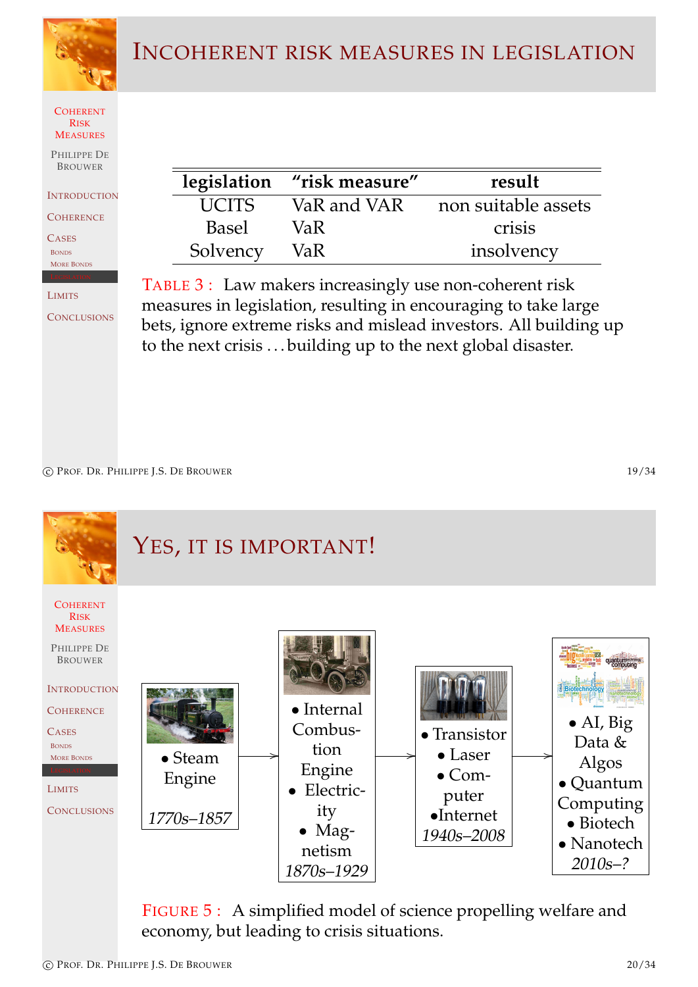

#### INCOHERENT RISK MEASURES IN LEGISLATION



PHILIPPE DE **BROUWER** 

**INTRODUCTION** 

**COHERENCE** 

**CASES** BONDS MORE BONDS

#### LIMITS

**CONCLUSIONS** 

|              | legislation "risk measure" | result              |
|--------------|----------------------------|---------------------|
| <b>UCITS</b> | VaR and VAR                | non suitable assets |
| <b>Basel</b> | VaR.                       | crisis              |
| Solvency     | VaR.                       | insolvency          |

TABLE 3 : Law makers increasingly use non-coherent risk measures in legislation, resulting in encouraging to take large bets, ignore extreme risks and mislead investors. All building up to the next crisis . . . building up to the next global disaster.

c PROF. DR. PHILIPPE J.S. DE BROUWER 19/34

**COHERENT** RISK **MEASURES** PHILIPPE DE BROUWER **INTRODUCTION COHERENCE** [C](#page-0-0)ASES<sub></sub> **BONDS** MORE BONDS [L](#page-0-1)IMITS **[C](#page-4-0)ONCLUSIONS** YES, IT IS IMPORTANT! • Steam Engine 1770s–1857 / • Internal Combustion Engine • Electricity • Magnetism 1870s–1929 / • Transistor • Laser • Computer •Internet 1940s–2008 / • AI, Big Data & Algos • Quantum Computing • Biotech • Nanotech 2010s–?

> FIGURE 5 : A simplified model of science propelling welfare and economy, but leading to crisis situations.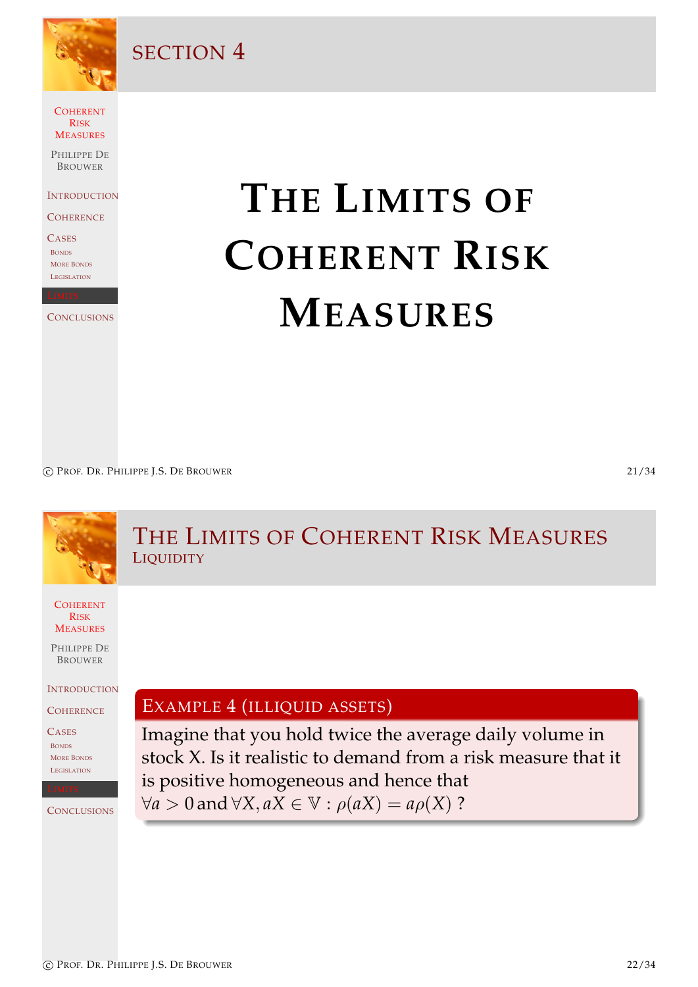

SECTION 4

**COHERENT** RISK **MEASURES** 

PHILIPPE DE **BROUWER** 

**INTRODUCTION** 

**COHERENCE** 

**CASES** BONDS MORE BONDS **LEGISLATION** 

**CONCLUSIONS** 

# **THE LIMITS OF COHERENT RISK MEASURES**

c PROF. DR. PHILIPPE J.S. DE BROUWER 21/34

<span id="page-10-0"></span>

#### **COHERENT** RISK **MEASURES** PHILIPPE DE BROUWER **INTRODUCTION COHERENCE** [C](#page-0-0)ASES BONDS MORE BONDS LEGISLATION **[C](#page-4-0)ONCLUSIONS** THE LIMITS OF COHERENT RISK MEASURES **LIQUIDITY** EXAMPLE 4 (ILLIQUID ASSETS) Imagine that you hold twice the average daily volume in stock X. Is it realistic to demand from a risk measure that it [is positive homogeneous and hen](#page-10-0)ce that  $∀a > 0$  and  $∀X, aX ∈ ∇·ρ(aX) = aρ(X)$  ?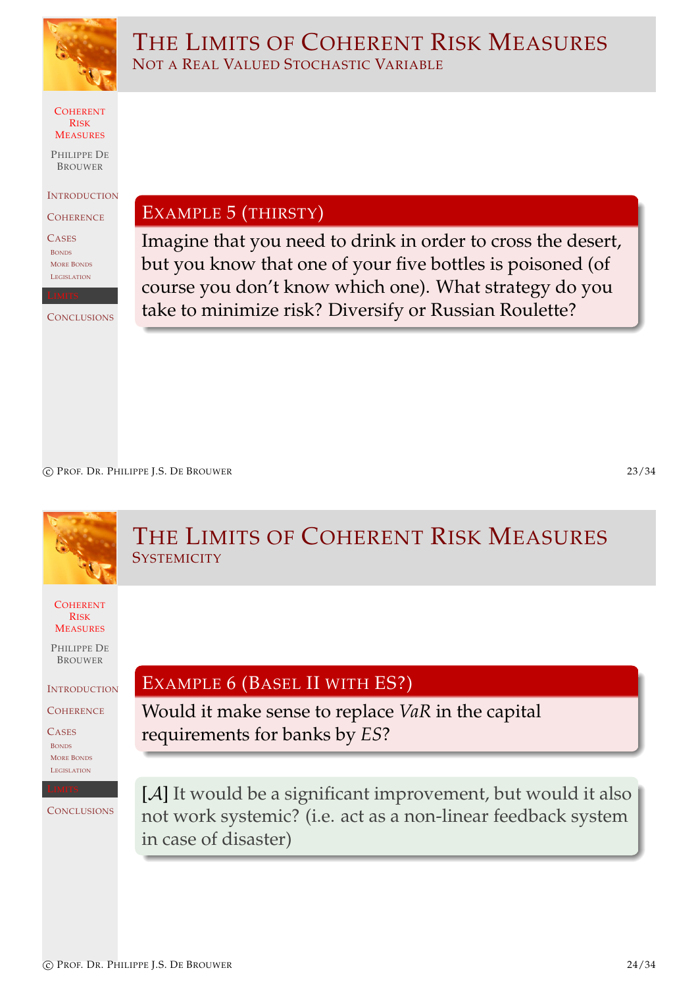

THE LIMITS OF COHERENT RISK MEASURES NOT A REAL VALUED STOCHASTIC VARIABLE

COHERENT RISK **MEASURES** 

PHILIPPE DE **BROUWER** 

**INTRODUCTION** 

**COHERENCE** 

**CASES** BONDS MORE BONDS **LEGISLATION** 

**CONCLUSIONS** 

EXAMPLE 5 (THIRSTY)

Imagine that you need to drink in order to cross the desert, but you know that one of your five bottles is poisoned (of course you don't know which one). What strategy do you take to minimize risk? Diversify or Russian Roulette?

c PROF. DR. PHILIPPE J.S. DE BROUWER 23/34

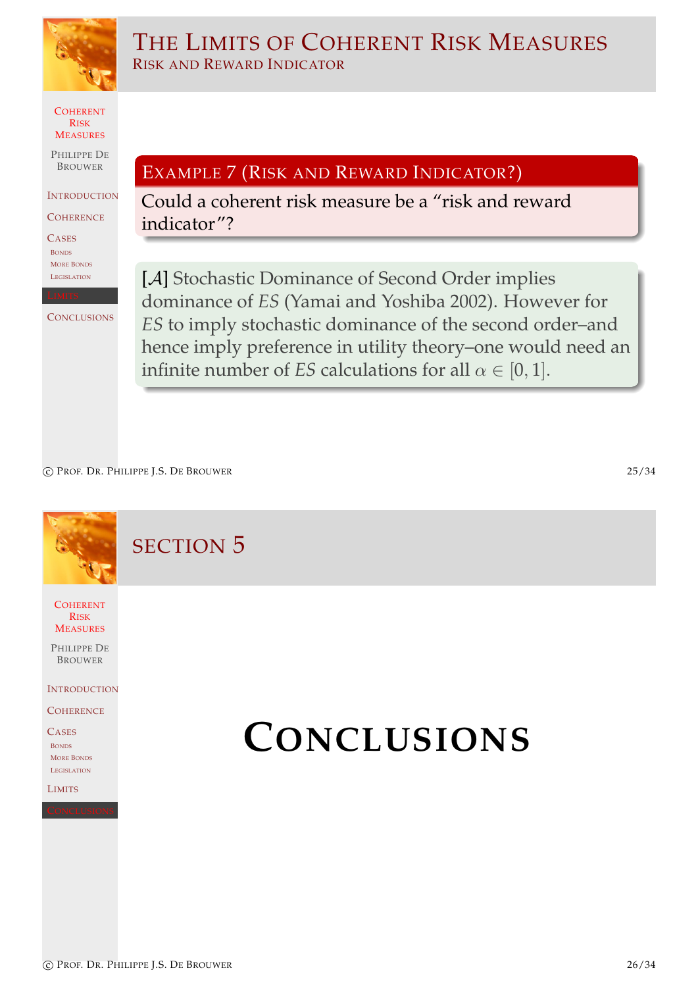

THE LIMITS OF COHERENT RISK MEASURES RISK AND REWARD INDICATOR

**COHERENT** RISK **MEASURES** 

PHILIPPE DE BROUWER

**INTRODUCTION** 

**COHERENCE** 

**CASES** BONDS MORE BONDS **LEGISLATION** 

**CONCLUSIONS** 

EXAMPLE 7 (RISK AND REWARD INDICATOR?)

Could a coherent risk measure be a "risk and reward indicator"?

[A] Stochastic Dominance of Second Order implies dominance of *ES* (Yamai and Yoshiba 2002). However for *ES* to imply stochastic dominance of the second order–and hence imply preference in utility theory–one would need an infinite number of *ES* calculations for all  $\alpha \in [0, 1]$ .

c PROF. DR. PHILIPPE J.S. DE BROUWER 25/34

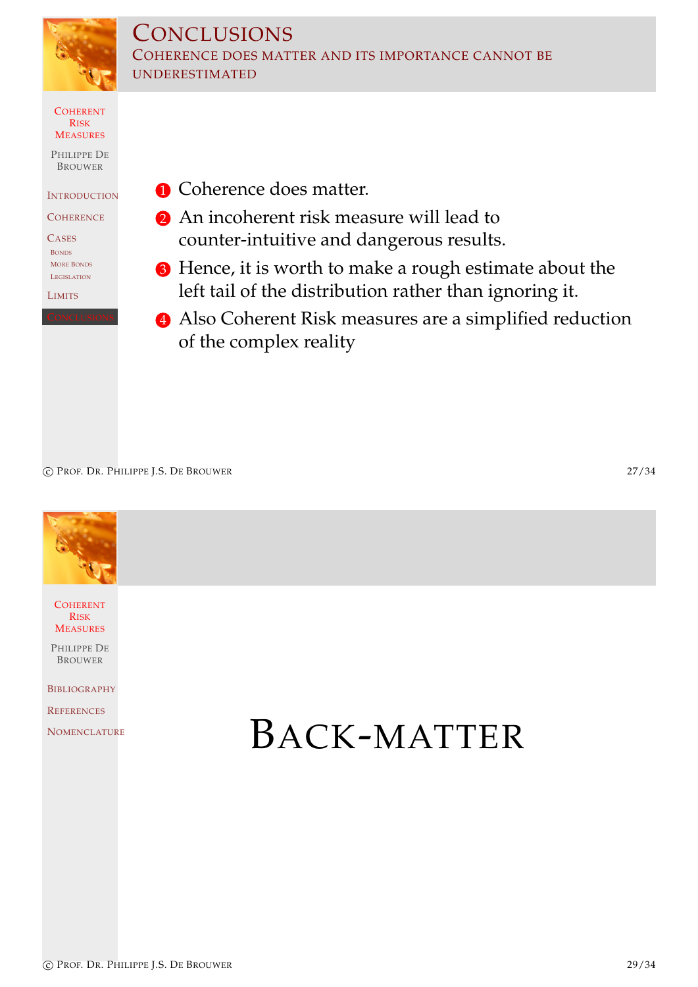

#### **CONCLUSIONS** COHERENCE DOES MATTER AND ITS IMPORTANCE CANNOT BE UNDERESTIMATED

**COHERENT** RISK **MEASURES** 

PHILIPPE DE BROUWER

**INTRODUCTION** 

**COHERENCE** 

**CASES** BONDS MORE BONDS **LEGISLATION** 

LIMITS

**1** Coherence does matter.

- 2 An incoherent risk measure will lead to counter-intuitive and dangerous results.
- <sup>3</sup> Hence, it is worth to make a rough estimate about the left tail of the distribution rather than ignoring it.
- 4 Also Coherent Risk measures are a simplified reduction of the complex reality

c PROF. DR. PHILIPPE J.S. DE BROUWER 27/34



**COHERENT** RISK **MEASURES** 

PHILIPPE DE BROUWER

**BIBLIOGRAPHY** 

**REFERENCES** 

[N](#page-0-0)OMENCLATURE **BACK-MATTER**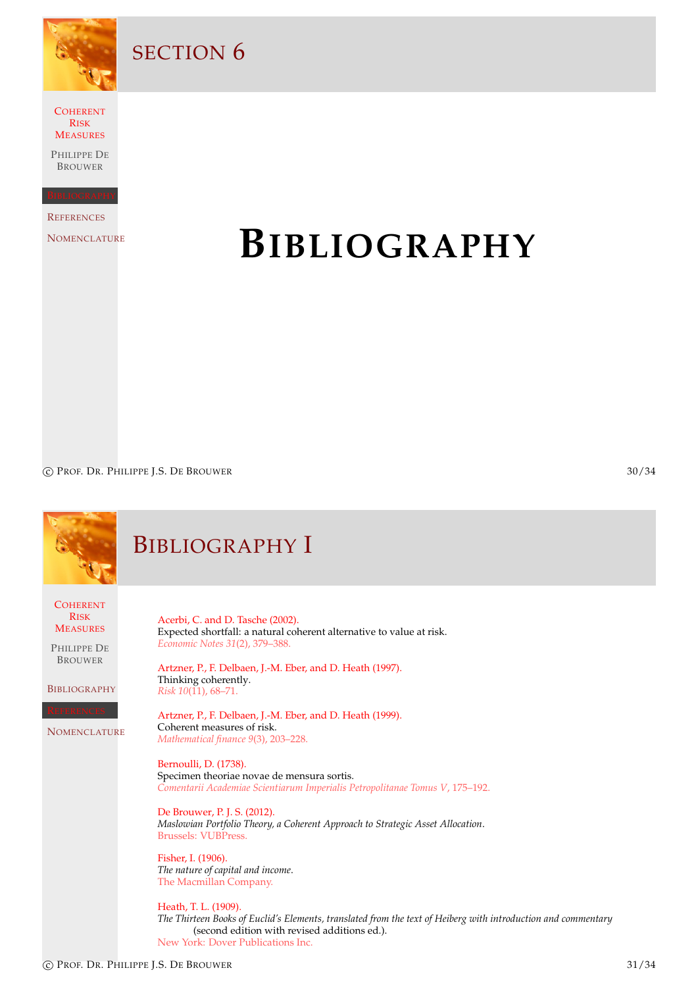

SECTION<sub>6</sub>

**COHERENT** RISK MEASURES

PHILIPPE DE BROUWER

**REFERENCES** 

**NOMENCLATURE** 

## **BIBLIOGRAPHY**

c PROF. DR. PHILIPPE J.S. DE BROUWER 30/34

<span id="page-14-3"></span><span id="page-14-2"></span><span id="page-14-1"></span><span id="page-14-0"></span>

|                                                                                                                                                      | <b>BIBLIOGRAPHY I</b>                                                                                                                                                                                                                                                                                                                                                                                                                                                                                                                                                                                                                                                                                                                                                                                                                                                                                                                                                                                       |
|------------------------------------------------------------------------------------------------------------------------------------------------------|-------------------------------------------------------------------------------------------------------------------------------------------------------------------------------------------------------------------------------------------------------------------------------------------------------------------------------------------------------------------------------------------------------------------------------------------------------------------------------------------------------------------------------------------------------------------------------------------------------------------------------------------------------------------------------------------------------------------------------------------------------------------------------------------------------------------------------------------------------------------------------------------------------------------------------------------------------------------------------------------------------------|
| <b>COHERENT</b><br><b>RISK</b><br><b>MEASURES</b><br>PHILIPPE DE<br><b>BROUWER</b><br><b>BIBLIOGRAPHY</b><br><b>EFERENCES</b><br><b>NOMENCLATURE</b> | Acerbi, C. and D. Tasche (2002).<br>Expected shortfall: a natural coherent alternative to value at risk.<br>Economic Notes 31(2), 379-388.<br>Artzner, P., F. Delbaen, J.-M. Eber, and D. Heath (1997).<br>Thinking coherently.<br>Risk 10(11), 68-71.<br>Artzner, P., F. Delbaen, J.-M. Eber, and D. Heath (1999).<br>Coherent measures of risk.<br>Mathematical finance 9(3), 203-228.<br>Bernoulli, D. (1738).<br>Specimen theoriae novae de mensura sortis.<br>Comentarii Academiae Scientiarum Imperialis Petropolitanae Tomus V, 175-192.<br>De Brouwer, P. J. S. (2012).<br>Maslowian Portfolio Theory, a Coherent Approach to Strategic Asset Allocation.<br>Brussels: VUBPress.<br>Fisher, I. (1906).<br>The nature of capital and income.<br>The Macmillan Company.<br>Heath, T. L. (1909).<br>The Thirteen Books of Euclid's Elements, translated from the text of Heiberg with introduction and commentary<br>(second edition with revised additions ed.).<br>New York: Dover Publications Inc. |
|                                                                                                                                                      |                                                                                                                                                                                                                                                                                                                                                                                                                                                                                                                                                                                                                                                                                                                                                                                                                                                                                                                                                                                                             |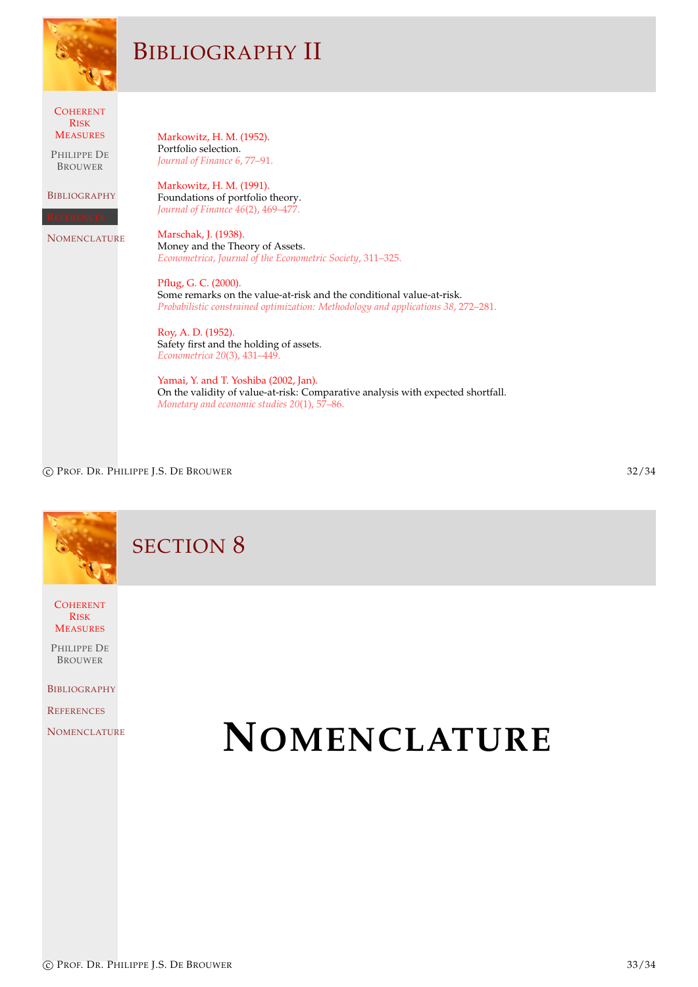|                                                                                                                                  | <b>BIBLIOGRAPHY II</b>                                                                                                                                                                                                                                                                                                                                                                                                                                                                                                                                                                                                                                                                                                                                                           |
|----------------------------------------------------------------------------------------------------------------------------------|----------------------------------------------------------------------------------------------------------------------------------------------------------------------------------------------------------------------------------------------------------------------------------------------------------------------------------------------------------------------------------------------------------------------------------------------------------------------------------------------------------------------------------------------------------------------------------------------------------------------------------------------------------------------------------------------------------------------------------------------------------------------------------|
| <b>COHERENT</b><br><b>RISK</b><br><b>MEASURES</b><br>PHILIPPE DE<br><b>BROUWER</b><br><b>BIBLIOGRAPHY</b><br><b>NOMENCLATURE</b> | Markowitz, H. M. (1952).<br>Portfolio selection.<br>Journal of Finance 6, 77-91.<br>Markowitz, H. M. (1991).<br>Foundations of portfolio theory.<br>Journal of Finance 46(2), 469-477.<br>Marschak, J. (1938).<br>Money and the Theory of Assets.<br>Econometrica, Journal of the Econometric Society, 311-325.<br>Pflug, G. C. (2000).<br>Some remarks on the value-at-risk and the conditional value-at-risk.<br>Probabilistic constrained optimization: Methodology and applications 38, 272-281.<br>Roy, A. D. (1952).<br>Safety first and the holding of assets.<br>Econometrica 20(3), 431-449.<br>Yamai, Y. and T. Yoshiba (2002, Jan).<br>On the validity of value-at-risk: Comparative analysis with expected shortfall.<br>Monetary and economic studies 20(1), 57-86. |

c PROF. DR. PHILIPPE J.S. DE BROUWER 32/34

SECTION 8

**COHERENT** RISK **MEASURES** 

PHILIPPE DE BROUWER

**BIBLIOGRAPHY** 

**REFERENCES** 

<span id="page-15-0"></span>**[N](#page-0-0)OMENCLATURE** 

## **NOMENCLATURE**